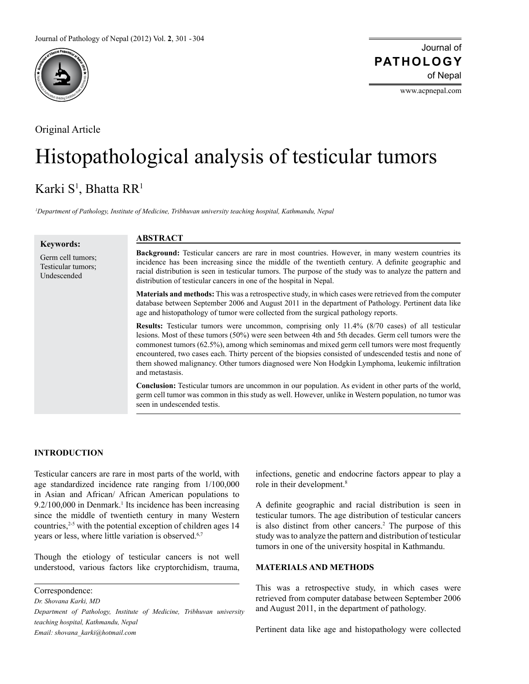

Original Article

### Journal of of Nepal **PATHOLOGY**

www.acpnepal.com

# Histopathological analysis of testicular tumors

## Karki S<sup>1</sup>, Bhatta RR<sup>1</sup>

*1 Department of Pathology, Institute of Medicine, Tribhuvan university teaching hospital, Kathmandu, Nepal*

| <b>Keywords:</b>                                       | <b>ABSTRACT</b>                                                                                                                                                                                                                                                                                                                                                                                                                                                                                                                                   |
|--------------------------------------------------------|---------------------------------------------------------------------------------------------------------------------------------------------------------------------------------------------------------------------------------------------------------------------------------------------------------------------------------------------------------------------------------------------------------------------------------------------------------------------------------------------------------------------------------------------------|
| Germ cell tumors;<br>Testicular tumors;<br>Undescended | <b>Background:</b> Testicular cancers are rare in most countries. However, in many western countries its<br>incidence has been increasing since the middle of the twentieth century. A definite geographic and<br>racial distribution is seen in testicular tumors. The purpose of the study was to analyze the pattern and<br>distribution of testicular cancers in one of the hospital in Nepal.                                                                                                                                                |
|                                                        | <b>Materials and methods:</b> This was a retrospective study, in which cases were retrieved from the computer<br>database between September 2006 and August 2011 in the department of Pathology. Pertinent data like<br>age and histopathology of tumor were collected from the surgical pathology reports.                                                                                                                                                                                                                                       |
|                                                        | <b>Results:</b> Testicular tumors were uncommon, comprising only 11.4% (8/70 cases) of all testicular<br>lesions. Most of these tumors (50%) were seen between 4th and 5th decades. Germ cell tumors were the<br>commonest tumors (62.5%), among which seminomas and mixed germ cell tumors were most frequently<br>encountered, two cases each. Thirty percent of the biopsies consisted of undescended testis and none of<br>them showed malignancy. Other tumors diagnosed were Non Hodgkin Lymphoma, leukemic infiltration<br>and metastasis. |
|                                                        | <b>Conclusion:</b> Testicular tumors are uncommon in our population. As evident in other parts of the world,<br>germ cell tumor was common in this study as well. However, unlike in Western population, no tumor was<br>seen in undescended testis                                                                                                                                                                                                                                                                                               |

#### **INTRODUCTION**

Testicular cancers are rare in most parts of the world, with age standardized incidence rate ranging from 1/100,000 in Asian and African/ African American populations to 9.2/100,000 in Denmark.<sup>1</sup> Its incidence has been increasing since the middle of twentieth century in many Western countries,<sup>2-5</sup> with the potential exception of children ages 14 years or less, where little variation is observed.<sup>6,7</sup>

Though the etiology of testicular cancers is not well understood, various factors like cryptorchidism, trauma,

*Dr. Shovana Karki, MD*

*Department of Pathology, Institute of Medicine, Tribhuvan university teaching hospital, Kathmandu, Nepal Email: shovana\_karki@hotmail.com*

infections, genetic and endocrine factors appear to play a role in their development.<sup>8</sup>

A definite geographic and racial distribution is seen in testicular tumors. The age distribution of testicular cancers is also distinct from other cancers.<sup>2</sup> The purpose of this study was to analyze the pattern and distribution of testicular tumors in one of the university hospital in Kathmandu.

#### **MATERIALS AND METHODS**

This was a retrospective study, in which cases were retrieved from computer database between September 2006 and August 2011, in the department of pathology.

Pertinent data like age and histopathology were collected

Correspondence: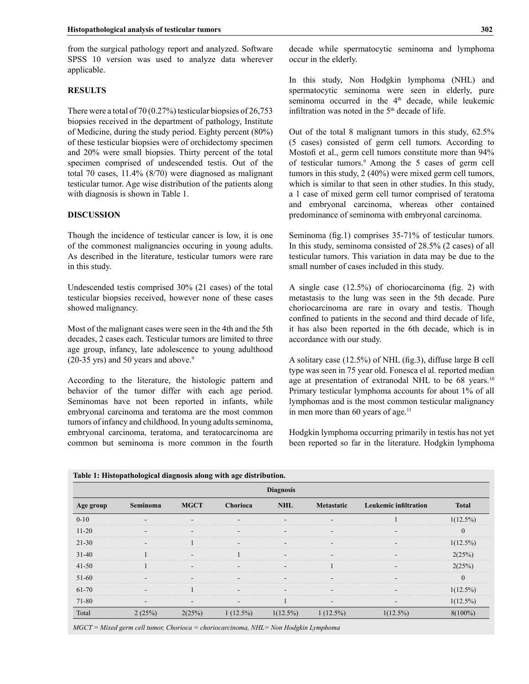from the surgical pathology report and analyzed. Software SPSS 10 version was used to analyze data wherever applicable.

#### **RESULTS**

There were a total of 70 (0.27%) testicular biopsies of 26,753 biopsies received in the department of pathology, Institute of Medicine, during the study period. Eighty percent (80%) of these testicular biopsies were of orchidectomy specimen and 20% were small biopsies. Thirty percent of the total specimen comprised of undescended testis. Out of the total 70 cases, 11.4% (8/70) were diagnosed as malignant testicular tumor. Age wise distribution of the patients along with diagnosis is shown in Table 1.

#### **DISCUSSION**

Though the incidence of testicular cancer is low, it is one of the commonest malignancies occuring in young adults. As described in the literature, testicular tumors were rare in this study.

Undescended testis comprised 30% (21 cases) of the total testicular biopsies received, however none of these cases showed malignancy.

Most of the malignant cases were seen in the 4th and the 5th decades, 2 cases each. Testicular tumors are limited to three age group, infancy, late adolescence to young adulthood  $(20-35 \text{ yrs})$  and 50 years and above.<sup>9</sup>

According to the literature, the histologic pattern and behavior of the tumor differ with each age period. Seminomas have not been reported in infants, while embryonal carcinoma and teratoma are the most common tumors of infancy and childhood. In young adults seminoma, embryonal carcinoma, teratoma, and teratocarcinoma are common but seminoma is more common in the fourth decade while spermatocytic seminoma and lymphoma occur in the elderly.

In this study, Non Hodgkin lymphoma (NHL) and spermatocytic seminoma were seen in elderly, pure seminoma occurred in the 4<sup>th</sup> decade, while leukemic infiltration was noted in the  $5<sup>th</sup>$  decade of life.

Out of the total 8 malignant tumors in this study, 62.5% (5 cases) consisted of germ cell tumors. According to Mostofi et al., germ cell tumors constitute more than 94% of testicular tumors.<sup>9</sup> Among the 5 cases of germ cell tumors in this study, 2 (40%) were mixed germ cell tumors, which is similar to that seen in other studies. In this study, a 1 case of mixed germ cell tumor comprised of teratoma and embryonal carcinoma, whereas other contained predominance of seminoma with embryonal carcinoma.

Seminoma (fig.1) comprises 35-71% of testicular tumors. In this study, seminoma consisted of 28.5% (2 cases) of all testicular tumors. This variation in data may be due to the small number of cases included in this study.

A single case (12.5%) of choriocarcinoma (fig. 2) with metastasis to the lung was seen in the 5th decade. Pure choriocarcinoma are rare in ovary and testis. Though confined to patients in the second and third decade of life, it has also been reported in the 6th decade, which is in accordance with our study.

A solitary case (12.5%) of NHL (fig.3), diffuse large B cell type was seen in 75 year old. Fonesca el al. reported median age at presentation of extranodal NHL to be 68 years.<sup>10</sup> Primary testicular lymphoma accounts for about 1% of all lymphomas and is the most common testicular malignancy in men more than 60 years of age.<sup>11</sup>

Hodgkin lymphoma occurring primarily in testis has not yet been reported so far in the literature. Hodgkin lymphoma

| <b>Diagnosis</b> |                          |                          |                          |             |                          |                              |              |  |  |
|------------------|--------------------------|--------------------------|--------------------------|-------------|--------------------------|------------------------------|--------------|--|--|
| Age group        | Seminoma                 | <b>MGCT</b>              | Chorioca                 | <b>NHL</b>  | <b>Metastatic</b>        | <b>Leukemic infiltration</b> | <b>Total</b> |  |  |
| $0 - 10$         | $\overline{\phantom{0}}$ | $\overline{\phantom{a}}$ |                          |             |                          |                              | $1(12.5\%)$  |  |  |
| $11 - 20$        | ۰                        | $\overline{\phantom{a}}$ |                          |             |                          |                              | $\Omega$     |  |  |
| $21 - 30$        | $\overline{\phantom{a}}$ |                          |                          |             | $\overline{\phantom{a}}$ |                              | $1(12.5\%)$  |  |  |
| $31 - 40$        |                          | $\overline{\phantom{a}}$ |                          | -           | $\overline{\phantom{a}}$ | $\overline{\phantom{0}}$     | 2(25%)       |  |  |
| $41 - 50$        |                          | $\overline{\phantom{a}}$ | $\sim$                   | -           |                          | $\overline{\phantom{a}}$     | 2(25%)       |  |  |
| 51-60            | -                        | $\overline{\phantom{a}}$ | $\overline{\phantom{0}}$ |             | -                        |                              | $\Omega$     |  |  |
| 61-70            | $\overline{\phantom{a}}$ |                          | -                        |             | $\overline{\phantom{a}}$ |                              | $1(12.5\%)$  |  |  |
| 71-80            | $\overline{\phantom{0}}$ | $\overline{\phantom{a}}$ | $\overline{\phantom{a}}$ |             | $\overline{\phantom{a}}$ |                              | $1(12.5\%)$  |  |  |
| Total            | 2(25%)                   | 2(25%)                   | $1(12.5\%)$              | $1(12.5\%)$ | $1(12.5\%)$              | $1(12.5\%)$                  | $8(100\%)$   |  |  |

*MGCT = Mixed germ cell tumor, Chorioca = choriocarcinoma, NHL= Non Hodgkin Lymphoma*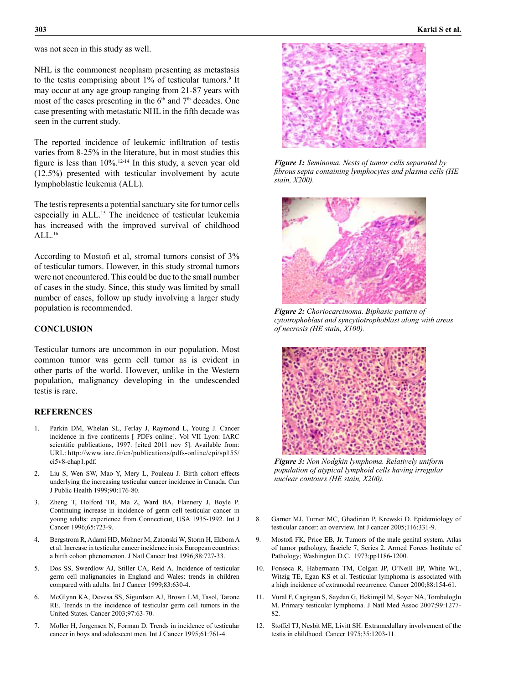was not seen in this study as well.

NHL is the commonest neoplasm presenting as metastasis to the testis comprising about  $1\%$  of testicular tumors.<sup>9</sup> It may occur at any age group ranging from 21-87 years with most of the cases presenting in the  $6<sup>th</sup>$  and  $7<sup>th</sup>$  decades. One case presenting with metastatic NHL in the fifth decade was seen in the current study.

The reported incidence of leukemic infiltration of testis varies from 8-25% in the literature, but in most studies this figure is less than  $10\%$ .<sup>12-14</sup> In this study, a seven year old (12.5%) presented with testicular involvement by acute lymphoblastic leukemia (ALL).

The testis represents a potential sanctuary site for tumor cells especially in ALL.15 The incidence of testicular leukemia has increased with the improved survival of childhood  $AI.16$ 

According to Mostofi et al, stromal tumors consist of 3% of testicular tumors. However, in this study stromal tumors were not encountered. This could be due to the small number of cases in the study. Since, this study was limited by small number of cases, follow up study involving a larger study population is recommended.

#### **CONCLUSION**

Testicular tumors are uncommon in our population. Most common tumor was germ cell tumor as is evident in other parts of the world. However, unlike in the Western population, malignancy developing in the undescended testis is rare.

#### **REFERENCES**

- 1. Parkin DM, Whelan SL, Ferlay J, Raymond L, Young J. Cancer incidence in five continents [ PDFs online]. Vol VII Lyon: IARC scientific publications, 1997. [cited 2011 nov 5]. Available from: URL: http://www.iarc.fr/en/publications/pdfs-online/epi/sp155/ ci5v8-chap1.pdf.
- 2. Liu S, Wen SW, Mao Y, Mery L, Pouleau J. Birth cohort effects underlying the increasing testicular cancer incidence in Canada. Can J Public Health 1999;90:176-80.
- 3. Zheng T, Holford TR, Ma Z, Ward BA, Flannery J, Boyle P. Continuing increase in incidence of germ cell testicular cancer in young adults: experience from Connecticut, USA 1935-1992. Int J Cancer 1996;65:723-9.
- 4. Bergstrom R, Adami HD, Mohner M, Zatonski W, Storm H, Ekbom A et al. Increase in testicular cancer incidence in six European countries: a birth cohort phenomenon. J Natl Cancer Inst 1996;88:727-33.
- 5. Dos SS, Swerdlow AJ, Stiller CA, Reid A. Incidence of testicular germ cell malignancies in England and Wales: trends in children compared with adults. Int J Cancer 1999;83:630-4.
- 6. McGlynn KA, Devesa SS, Sigurdson AJ, Brown LM, Tasol, Tarone RE. Trends in the incidence of testicular germ cell tumors in the United States. Cancer 2003;97:63-70.
- 7. Moller H, Jorgensen N, Forman D. Trends in incidence of testicular cancer in boys and adolescent men. Int J Cancer 1995;61:761-4.



*Figure 1: Seminoma. Nests of tumor cells separated by fibrous septa containing lymphocytes and plasma cells (HE stain, X200).*



*Figure 2: Choriocarcinoma. Biphasic pattern of cytotrophoblast and syncytiotrophoblast along with areas of necrosis (HE stain, X100).*



*Figure 3: Non Nodgkin lymphoma. Relatively uniform population of atypical lymphoid cells having irregular nuclear contours (HE stain, X200).* 

- 8. Garner MJ, Turner MC, Ghadirian P, Krewski D. Epidemiology of testicular cancer: an overview. Int J cancer 2005;116:331-9.
- 9. Mostofi FK, Price EB, Jr. Tumors of the male genital system. Atlas of tumor pathology, fascicle 7, Series 2. Armed Forces Institute of Pathology; Washington D.C. 1973;pp1186-1200.
- 10. Fonseca R, Habermann TM, Colgan JP, O'Neill BP, White WL, Witzig TE, Egan KS et al. Testicular lymphoma is associated with a high incidence of extranodal recurrence. Cancer 2000;88:154-61.
- 11. Vural F, Cagirgan S, Saydan G, Hekimgil M, Soyer NA, Tombuloglu M. Primary testicular lymphoma. J Natl Med Assoc 2007;99:1277- 82.
- 12. Stoffel TJ, Nesbit ME, Livitt SH. Extramedullary involvement of the testis in childhood. Cancer 1975;35:1203-11.